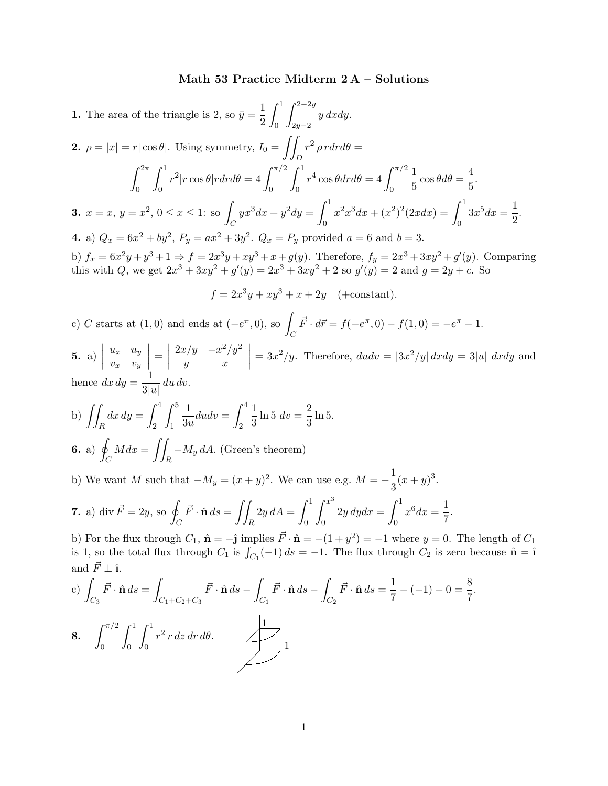## Math 53 Practice Midterm 2 A – Solutions

**1.** The area of the triangle is 2, so  $\bar{y} = \frac{1}{2}$ 2  $\int_0^1$  $\overline{0}$  $\int^{2-2y}$  $2y-2$ y dxdy. **2.**  $\rho = |x| = r |\cos \theta|$ . Using symmetry,  $I_0 = \iint$ D  $r^2 \rho r dr d\theta =$  $\int^{2\pi}$  $\overline{0}$  $\int_1^1$ 0  $r^2 |r \cos \theta| r dr d\theta = 4 \int^{\pi/2}$  $\overline{0}$  $\int_0^1$  $\overline{0}$  $r^4\cos\theta dr d\theta = 4\int^{\pi/2}$  $\overline{0}$ 1  $\frac{1}{5}\cos\theta d\theta = \frac{4}{5}$  $\frac{1}{5}$ . **3.**  $x = x, y = x^2, 0 \le x \le 1$ : so  $\mathcal{C}_{0}^{(n)}$  $yx^3dx + y^2dy = \int_0^1$  $\overline{0}$  $x^2x^3dx + (x^2)^2(2xdx) = \int_0^1$  $\overline{0}$  $3x^5 dx = \frac{1}{2}$  $\frac{1}{2}$ . **4.** a)  $Q_x = 6x^2 + by^2$ ,  $P_y = ax^2 + 3y^2$ .  $Q_x = P_y$  provided  $a = 6$  and  $b = 3$ . b)  $f_x = 6x^2y + y^3 + 1 \Rightarrow f = 2x^3y + xy^3 + x + g(y)$ . Therefore,  $f_y = 2x^3 + 3xy^2 + g'(y)$ . Comparing this with Q, we get  $2x^3 + 3xy^2 + g'(y) = 2x^3 + 3xy^2 + 2$  so  $g'(y) = 2$  and  $g = 2y + c$ . So  $f = 2x^3y + xy^3 + x + 2y$  (+constant). c) C starts at  $(1,0)$  and ends at  $(-e^{\pi},0)$ , so  $\mathcal{C}_{0}^{(n)}$  $\vec{F} \cdot d\vec{r} = f(-e^{\pi}, 0) - f(1, 0) = -e^{\pi} - 1.$ 5. a)  $\Big|$  $u_x$  u<sub>y</sub>  $v_x$  v<sub>y</sub>  $\Bigg| = \Bigg|$  $2x/y - x^2/y^2$  $y \qquad x$ ¯ ¯ ¯ ¯  $= 3x^2/y$ . Therefore,  $dudv = |3x^2/y| dxdy = 3|u| dxdy$  and hence  $dx dy = \frac{1}{2}$  $\frac{1}{3|u|} du dv.$ b)  $\int$ R  $dx dy = \int^4$ 2  $\int_0^5$ 1 1  $\frac{1}{3u}dudv = \int_2^4$ 2 1  $\frac{1}{3} \ln 5 \ dv = \frac{2}{3}$  $\frac{2}{3}$  ln 5. 6. a)  $\int$  $\mathcal{C}_{0}^{(n)}$  $Mdx = \iint$ R  $-M_y dA.$  (Green's theorem) b) We want M such that  $-M_y = (x + y)^2$ . We can use e.g.  $M = -\frac{1}{2}$  $\frac{1}{3}(x+y)^3$ . **7.** a) div  $\vec{F} = 2y$ , so  $\phi$  $\mathcal{C}_{0}^{(n)}$  $\vec{F} \cdot \hat{\mathbf{n}} ds = \iint$ R  $2y dA = \int_0^1$ 0  $\int x^3$ 0  $2y\,dydx=\int^1$ 0  $x^6 dx = \frac{1}{5}$  $\frac{1}{7}$ . b) For the flux through  $C_1$ ,  $\hat{\mathbf{n}} = -\hat{\mathbf{j}}$  implies  $\vec{F} \cdot \hat{\mathbf{n}} = -(1 + y^2) = -1$  where  $y = 0$ . The length of  $C_1$ is 1, so the total flux through  $C_1$  is  $\int_{C_1}(-1) ds = -1$ . The flux through  $C_2$  is zero because  $\hat{\mathbf{n}} = \hat{\mathbf{i}}$ and  $\vec{F}$  +  $\hat{\mathbf{i}}$ 

e) 
$$
\int_{C_3} \vec{F} \cdot \hat{\mathbf{n}} ds = \int_{C_1 + C_2 + C_3} \vec{F} \cdot \hat{\mathbf{n}} ds - \int_{C_1} \vec{F} \cdot \hat{\mathbf{n}} ds - \int_{C_2} \vec{F} \cdot \hat{\mathbf{n}} ds = \frac{1}{7} - (-1) - 0 = \frac{8}{7}.
$$
  
8.  $\int_0^{\pi/2} \int_0^1 \int_0^1 r^2 r dz dr d\theta.$